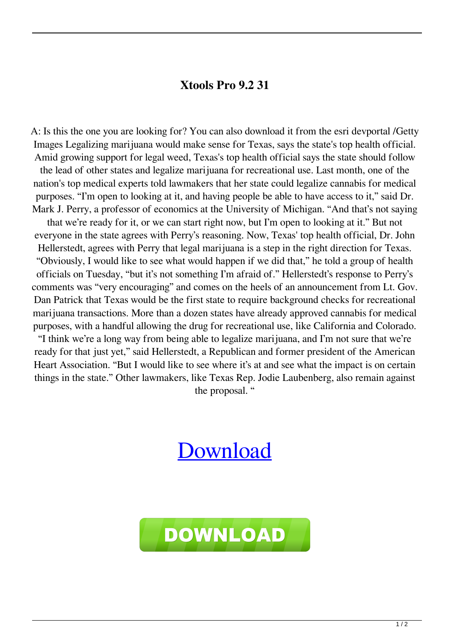## **Xtools Pro 9.2 31**

A: Is this the one you are looking for? You can also download it from the esri devportal /Getty Images Legalizing marijuana would make sense for Texas, says the state's top health official. Amid growing support for legal weed, Texas's top health official says the state should follow

the lead of other states and legalize marijuana for recreational use. Last month, one of the nation's top medical experts told lawmakers that her state could legalize cannabis for medical purposes. "I'm open to looking at it, and having people be able to have access to it," said Dr. Mark J. Perry, a professor of economics at the University of Michigan. "And that's not saying

that we're ready for it, or we can start right now, but I'm open to looking at it." But not everyone in the state agrees with Perry's reasoning. Now, Texas' top health official, Dr. John Hellerstedt, agrees with Perry that legal marijuana is a step in the right direction for Texas. "Obviously, I would like to see what would happen if we did that," he told a group of health officials on Tuesday, "but it's not something I'm afraid of." Hellerstedt's response to Perry's comments was "very encouraging" and comes on the heels of an announcement from Lt. Gov. Dan Patrick that Texas would be the first state to require background checks for recreational marijuana transactions. More than a dozen states have already approved cannabis for medical purposes, with a handful allowing the drug for recreational use, like California and Colorado.

"I think we're a long way from being able to legalize marijuana, and I'm not sure that we're ready for that just yet," said Hellerstedt, a Republican and former president of the American Heart Association. "But I would like to see where it's at and see what the impact is on certain things in the state." Other lawmakers, like Texas Rep. Jodie Laubenberg, also remain against the proposal. "

## [Download](http://evacdir.com/bionaire/.caricom/.cranium/.ZG93bmxvYWR8dDFSTVRFeGRIeDhNVFkxTkRNME5EZzROSHg4TWpVNE4zeDhLRTBwSUVobGNtOXJkU0JiUm1GemRDQkhSVTVk/.garages/.eHRvb2xzIHBybyA5LjIgMzEeHR/.denia/.minivacation/)